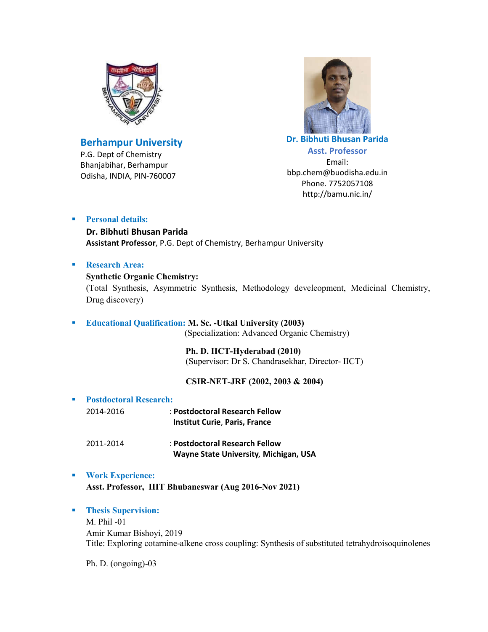

# **Berhampur University**

P.G. Dept of Chemistry Bhanjabihar, Berhampur Odisha, INDIA, PIN-760007



**Dr. Bibhuti Bhusan Parida Asst. Professor** Email: bbp.chem@buodisha.edu.in Phone. 7752057108 http://bamu.nic.in/

# **Personal details:**

**Dr. Bibhuti Bhusan Parida Assistant Professor**, P.G. Dept of Chemistry, Berhampur University

# **Research Area:**

### **Synthetic Organic Chemistry:**

(Total Synthesis, Asymmetric Synthesis, Methodology develeopment, Medicinal Chemistry, Drug discovery)

### **Educational Qualification: M. Sc. -Utkal University (2003)** (Specialization: Advanced Organic Chemistry)

 **Ph. D. IICT-Hyderabad (2010)** (Supervisor: Dr S. Chandrasekhar, Director- IICT)

# **CSIR-NET-JRF (2002, 2003 & 2004)**

| ٠ | <b>Postdoctoral Research:</b> |                                                                         |
|---|-------------------------------|-------------------------------------------------------------------------|
|   | 2014-2016                     | : Postdoctoral Research Fellow<br><b>Institut Curie, Paris, France</b>  |
|   | 2011-2014                     | : Postdoctoral Research Fellow<br>Wayne State University, Michigan, USA |

### **Work Experience:**

**Asst. Professor, IIIT Bhubaneswar (Aug 2016-Nov 2021)**

# **Thesis Supervision:**

M. Phil -01 Amir Kumar Bishoyi, 2019 Title: Exploring cotarnine-alkene cross coupling: Synthesis of substituted tetrahydroisoquinolenes

Ph. D. (ongoing)-03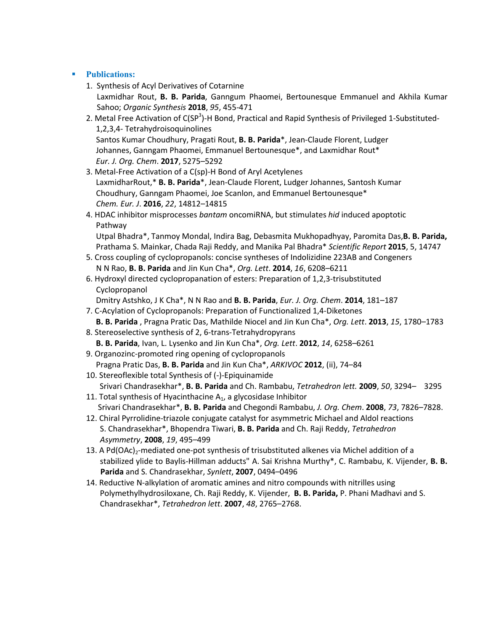### **Publications:**

- 1. Synthesis of Acyl Derivatives of Cotarnine Laxmidhar Rout, **B. B. Parida**, Ganngum Phaomei, Bertounesque Emmanuel and Akhila Kumar Sahoo; *Organic Synthesis* **2018**, *95*, 455-471
- 2. Metal Free Activation of C(SP<sup>3</sup>)-H Bond, Practical and Rapid Synthesis of Privileged 1-Substituted- 1,2,3,4- Tetrahydroisoquinolines Santos Kumar Choudhury, Pragati Rout, **B. B. Parida**\*, Jean-Claude Florent, Ludger Johannes, Ganngam Phaomei, Emmanuel Bertounesque\*, and Laxmidhar Rout\* *Eur. J. Org. Chem*. **2017**, 5275–5292
- 3. Metal-Free Activation of a C(sp)-H Bond of Aryl Acetylenes LaxmidharRout,\* **B. B. Parida**\*, Jean-Claude Florent, Ludger Johannes, Santosh Kumar Choudhury, Ganngam Phaomei, Joe Scanlon, and Emmanuel Bertounesque\* *Chem. Eur. J*. **2016**, *22*, 14812–14815
- 4. HDAC inhibitor misprocesses *bantam* oncomiRNA, but stimulates *hid* induced apoptotic Pathway

 Utpal Bhadra\*, Tanmoy Mondal, Indira Bag, Debasmita Mukhopadhyay, Paromita Das,**B. B. Parida,** Prathama S. Mainkar, Chada Raji Reddy, and Manika Pal Bhadra\* *Scientific Report* **2015**, 5, 14747

- 5. Cross coupling of cyclopropanols: concise syntheses of Indolizidine 223AB and Congeners N N Rao, **B. B. Parida** and Jin Kun Cha\*, *Org. Lett*. **2014**, *16*, 6208–6211
- 6. Hydroxyl directed cyclopropanation of esters: Preparation of 1,2,3-trisubstituted Cyclopropanol
	- Dmitry Astshko, J K Cha\*, N N Rao and **B. B. Parida**, *Eur. J. Org. Chem*. **2014**, 181–187
- 7. C-Acylation of Cyclopropanols: Preparation of Functionalized 1,4-Diketones **B. B. Parida** , Pragna Pratic Das, Mathilde Niocel and Jin Kun Cha\*, *Org. Lett*. **2013**, *15*, 1780–1783
- 8. Stereoselective synthesis of 2, 6-trans-Tetrahydropyrans **B. B. Parida**, Ivan, L. Lysenko and Jin Kun Cha\*, *Org. Lett*. **2012**, *14*, 6258–6261
- 9. Organozinc-promoted ring opening of cyclopropanols Pragna Pratic Das, **B. B. Parida** and Jin Kun Cha\*, *ARKIVOC* **2012**, (ii), 74–84
- 10. Stereoflexible total Synthesis of (-)-Epiquinamide Srivari Chandrasekhar\*, **B. B. Parida** and Ch. Rambabu, *Tetrahedron lett.* **2009**, *50*, 3294– 3295
- 11. Total synthesis of Hyacinthacine  $A_1$ , a glycosidase Inhibitor Srivari Chandrasekhar\*, **B. B. Parida** and Chegondi Rambabu, *J. Org. Chem*. **2008**, *73*, 7826–7828.
- 12. Chiral Pyrrolidine-triazole conjugate catalyst for asymmetric Michael and Aldol reactions S. Chandrasekhar\*, Bhopendra Tiwari, **B. B. Parida** and Ch. Raji Reddy, *Tetrahedron Asymmetry*, **2008**, *19*, 495–499
- 13. A Pd(OAc)<sub>2</sub>-mediated one-pot synthesis of trisubstituted alkenes via Michel addition of a stabilized ylide to Baylis-Hillman adducts" A. Sai Krishna Murthy\*, C. Rambabu, K. Vijender, **B. B. Parida** and S. Chandrasekhar, *Synlett*, **2007**, 0494–0496
- 14. Reductive N-alkylation of aromatic amines and nitro compounds with nitrilles using Polymethylhydrosiloxane, Ch. Raji Reddy, K. Vijender, **B. B. Parida,** P. Phani Madhavi and S. Chandrasekhar\*, *Tetrahedron lett*. **2007**, *48*, 2765–2768.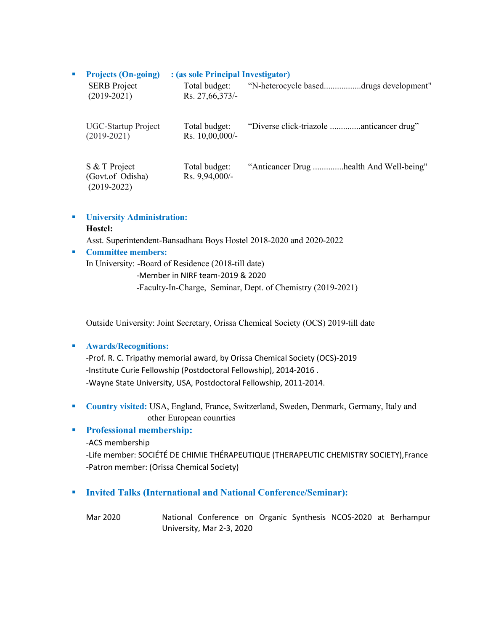| $\mathbf{r}$ | <b>Projects (On-going)</b><br>: (as sole Principal Investigator) |                                   |                                         |  |
|--------------|------------------------------------------------------------------|-----------------------------------|-----------------------------------------|--|
|              | <b>SERB</b> Project<br>$(2019 - 2021)$                           | Total budget:<br>Rs. 27,66,373/-  | "N-heterocycle baseddrugs development"  |  |
|              | <b>UGC-Startup Project</b><br>$(2019 - 2021)$                    | Total budget:<br>Rs. 10,00,000/-  |                                         |  |
|              | S & T Project<br>(Govt.of Odisha)<br>$(2019 - 2022)$             | Total budget:<br>$Rs. 9,94,000/-$ | "Anticancer Drug health And Well-being" |  |

**University Administration:**

#### **Hostel:**

Asst. Superintendent-Bansadhara Boys Hostel 2018-2020 and 2020-2022

### **Committee members:**

In University: -Board of Residence (2018-till date)

-Member in NIRF team-2019 & 2020

-Faculty-In-Charge, Seminar, Dept. of Chemistry (2019-2021)

Outside University: Joint Secretary, Orissa Chemical Society (OCS) 2019-till date

### **Awards/Recognitions:**

-Prof. R. C. Tripathy memorial award, by Orissa Chemical Society (OCS)-2019 -Institute Curie Fellowship (Postdoctoral Fellowship), 2014-2016 . -Wayne State University, USA, Postdoctoral Fellowship, 2011-2014.

 **Country visited:** USA, England, France, Switzerland, Sweden, Denmark, Germany, Italy and other European counrties

# **Professional membership:**

-ACS membership

-Life member: SOCIÉTÉ DE CHIMIE THÉRAPEUTIQUE (THERAPEUTIC CHEMISTRY SOCIETY),France -Patron member: (Orissa Chemical Society)

# **Invited Talks (International and National Conference/Seminar):**

Mar 2020 National Conference on Organic Synthesis NCOS-2020 at Berhampur University, Mar 2-3, 2020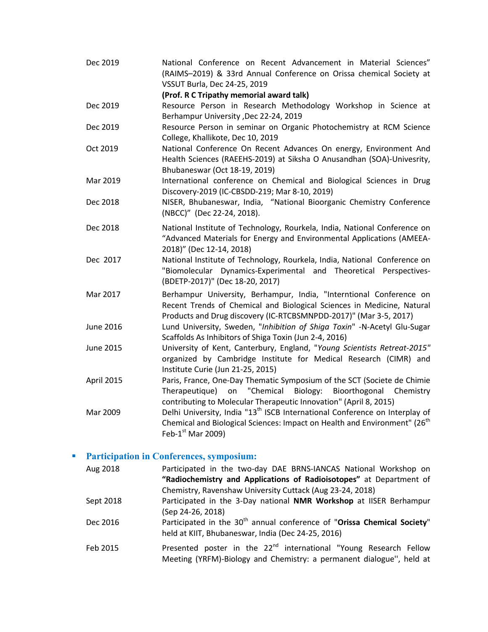Dec 2019 National Conference on Recent Advancement in Material Sciences" (RAIMS–2019) & 33rd Annual Conference on Orissa chemical Society at VSSUT Burla, Dec 24-25, 2019 **(Prof. R C Tripathy memorial award talk)** Dec 2019 Resource Person in Research Methodology Workshop in Science at Berhampur University ,Dec 22-24, 2019 Dec 2019 Resource Person in seminar on Organic Photochemistry at RCM Science College, Khallikote, Dec 10, 2019 Oct 2019 National Conference On Recent Advances On energy, Environment And Health Sciences (RAEEHS-2019) at Siksha O Anusandhan (SOA)-Univesrity, Bhubaneswar (Oct 18-19, 2019) Mar 2019 International conference on Chemical and Biological Sciences in Drug Discovery-2019 (IC-CBSDD-219; Mar 8-10, 2019) Dec 2018 NISER, Bhubaneswar, India, "National Bioorganic Chemistry Conference (NBCC)" (Dec 22-24, 2018). Dec 2018 National Institute of Technology, Rourkela, India, National Conference on "Advanced Materials for Energy and Environmental Applications (AMEEA-2018)" (Dec 12-14, 2018) Dec 2017 National Institute of Technology, Rourkela, India, National Conference on "Biomolecular Dynamics-Experimental and Theoretical Perspectives- (BDETP-2017)" (Dec 18-20, 2017) Mar 2017 Berhampur University, Berhampur, India, "Interntional Conference on Recent Trends of Chemical and Biological Sciences in Medicine, Natural Products and Drug discovery (IC-RTCBSMNPDD-2017)" (Mar 3-5, 2017) June 2016 Lund University, Sweden, "*Inhibition of Shiga Toxin*" -N-Acetyl Glu-Sugar Scaffolds As Inhibitors of Shiga Toxin (Jun 2-4, 2016) June 2015 University of Kent, Canterbury, England, "*Young Scientists Retreat-2015"* organized by Cambridge Institute for Medical Research (CIMR) and Institute Curie (Jun 21-25, 2015) April 2015 Paris, France, One-Day Thematic Symposium of the SCT (Societe de Chimie Therapeutique) on "Chemical Biology: Bioorthogonal Chemistry contributing to Molecular Therapeutic Innovation" (April 8, 2015) Mar 2009 Delhi University, India "13<sup>th</sup> ISCB International Conference on Interplay of Chemical and Biological Sciences: Impact on Health and Environment" (26<sup>th</sup> Feb- $1<sup>st</sup>$  Mar 2009)

### **Participation in Conferences, symposium:**

| Aug 2018  | Participated in the two-day DAE BRNS-IANCAS National Workshop on                    |
|-----------|-------------------------------------------------------------------------------------|
|           | "Radiochemistry and Applications of Radioisotopes" at Department of                 |
|           | Chemistry, Ravenshaw University Cuttack (Aug 23-24, 2018)                           |
| Sept 2018 | Participated in the 3-Day national NMR Workshop at IISER Berhampur                  |
|           | (Sep 24-26, 2018)                                                                   |
| Dec 2016  | Participated in the 30 <sup>th</sup> annual conference of "Orissa Chemical Society" |
|           | held at KIIT, Bhubaneswar, India (Dec 24-25, 2016)                                  |
| Feb 2015  | Presented poster in the 22 <sup>nd</sup> international "Young Research Fellow       |
|           | Meeting (YRFM)-Biology and Chemistry: a permanent dialogue", held at                |